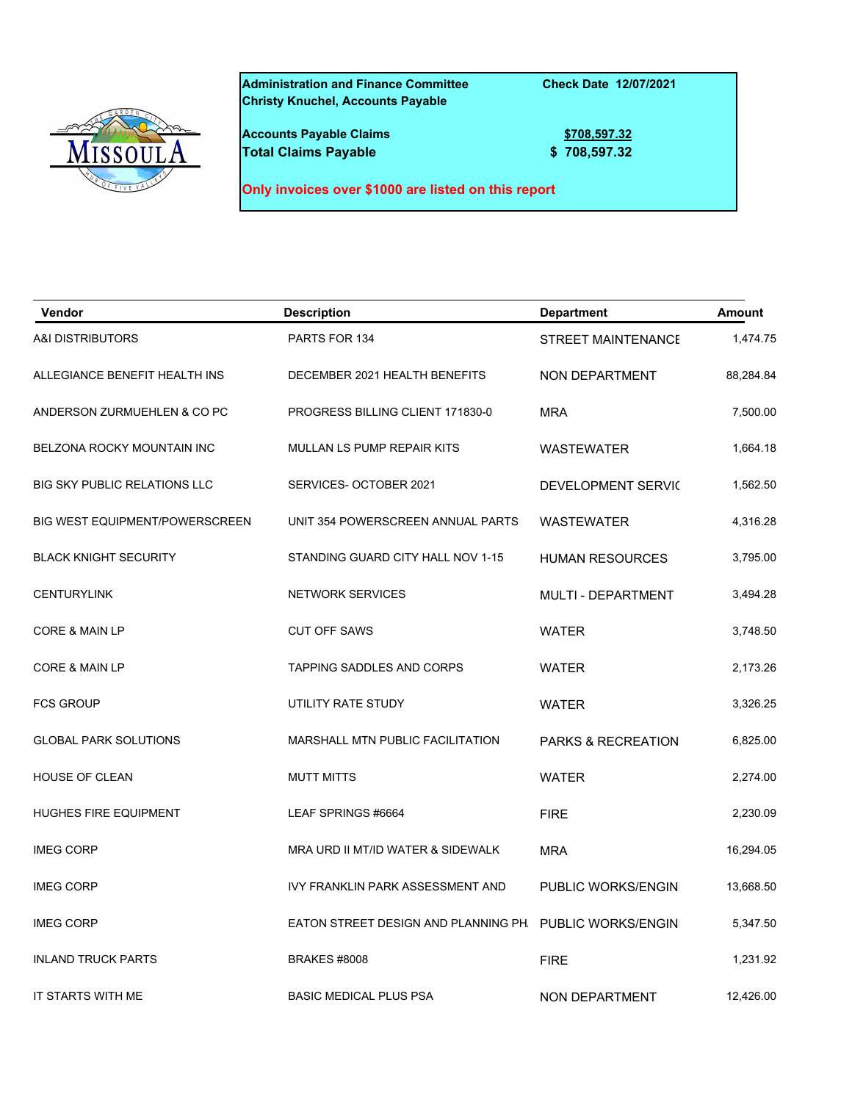## **Administration and Finance Committee Check Date 12/07/2021 Christy Knuchel, Accounts Payable**

**Accounts Payable Claims 1999 1999 1999 1999 1999 1999 1999 1999 1999 1999 1999 1999 1999 1999 1999 1999 1999 1999 1999 1999 1999 1999 1999 1999 1999 1999 1999 1999 Total Claims Payable 5 108,597.32** 

**Only invoices over \$1000 are listed on this report**

| Vendor                              | <b>Description</b>                   | <b>Department</b>             | <b>Amount</b> |
|-------------------------------------|--------------------------------------|-------------------------------|---------------|
| <b>A&amp;I DISTRIBUTORS</b>         | PARTS FOR 134                        | <b>STREET MAINTENANCE</b>     | 1,474.75      |
| ALLEGIANCE BENEFIT HEALTH INS       | DECEMBER 2021 HEALTH BENEFITS        | NON DEPARTMENT                | 88,284.84     |
| ANDERSON ZURMUEHLEN & CO PC         | PROGRESS BILLING CLIENT 171830-0     | <b>MRA</b>                    | 7,500.00      |
| BELZONA ROCKY MOUNTAIN INC          | MULLAN LS PUMP REPAIR KITS           | <b>WASTEWATER</b>             | 1,664.18      |
| <b>BIG SKY PUBLIC RELATIONS LLC</b> | SERVICES- OCTOBER 2021               | DEVELOPMENT SERVIC            | 1,562.50      |
| BIG WEST EQUIPMENT/POWERSCREEN      | UNIT 354 POWERSCREEN ANNUAL PARTS    | <b>WASTEWATER</b>             | 4,316.28      |
| <b>BLACK KNIGHT SECURITY</b>        | STANDING GUARD CITY HALL NOV 1-15    | <b>HUMAN RESOURCES</b>        | 3,795.00      |
| <b>CENTURYLINK</b>                  | <b>NETWORK SERVICES</b>              | MULTI - DEPARTMENT            | 3,494.28      |
| CORE & MAIN LP                      | <b>CUT OFF SAWS</b>                  | <b>WATER</b>                  | 3,748.50      |
| CORE & MAIN LP                      | <b>TAPPING SADDLES AND CORPS</b>     | <b>WATER</b>                  | 2,173.26      |
| <b>FCS GROUP</b>                    | UTILITY RATE STUDY                   | WATER                         | 3,326.25      |
| <b>GLOBAL PARK SOLUTIONS</b>        | MARSHALL MTN PUBLIC FACILITATION     | <b>PARKS &amp; RECREATION</b> | 6,825.00      |
| HOUSE OF CLEAN                      | <b>MUTT MITTS</b>                    | WATER                         | 2,274.00      |
| <b>HUGHES FIRE EQUIPMENT</b>        | LEAF SPRINGS #6664                   | <b>FIRE</b>                   | 2,230.09      |
| <b>IMEG CORP</b>                    | MRA URD II MT/ID WATER & SIDEWALK    | <b>MRA</b>                    | 16,294.05     |
| <b>IMEG CORP</b>                    | IVY FRANKLIN PARK ASSESSMENT AND     | PUBLIC WORKS/ENGIN            | 13,668.50     |
| <b>IMEG CORP</b>                    | EATON STREET DESIGN AND PLANNING PH. | PUBLIC WORKS/ENGIN            | 5,347.50      |
| <b>INLAND TRUCK PARTS</b>           | <b>BRAKES #8008</b>                  | <b>FIRE</b>                   | 1,231.92      |
| IT STARTS WITH ME                   | <b>BASIC MEDICAL PLUS PSA</b>        | NON DEPARTMENT                | 12,426.00     |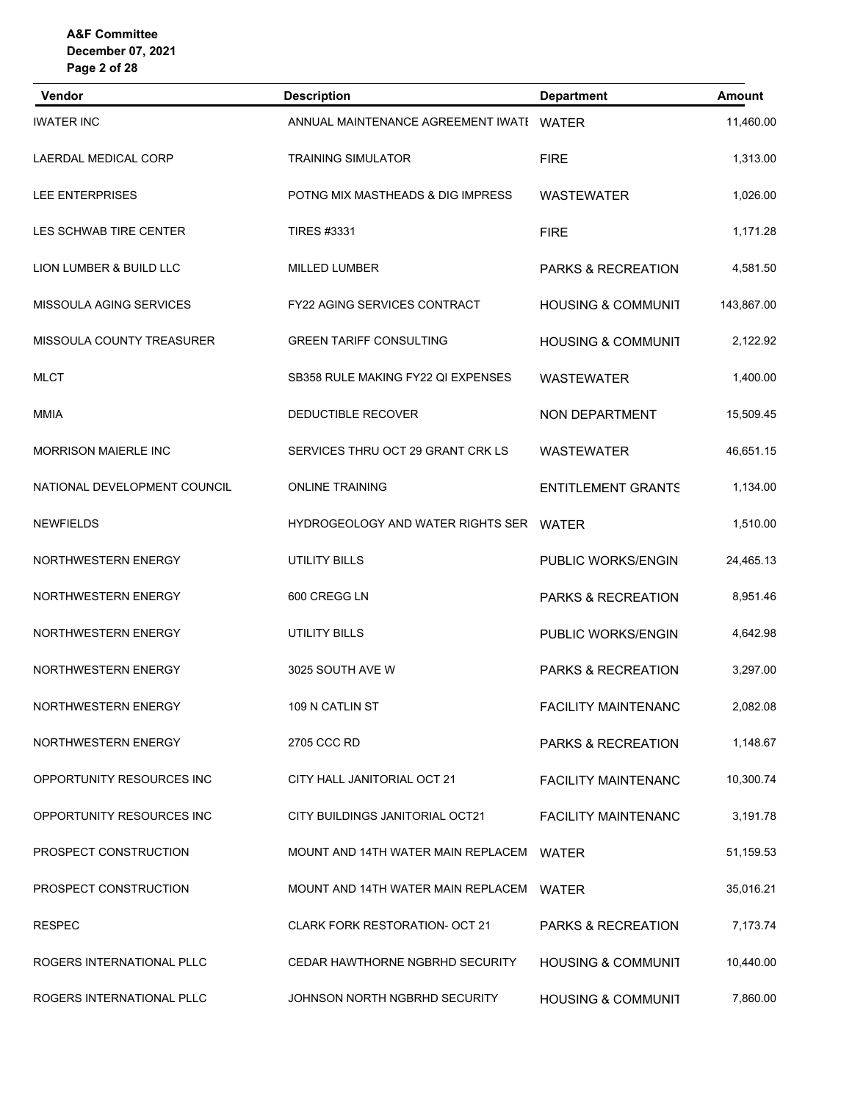| Vendor                       | <b>Description</b>                        | <b>Department</b>             | <b>Amount</b> |
|------------------------------|-------------------------------------------|-------------------------------|---------------|
| <b>IWATER INC</b>            | ANNUAL MAINTENANCE AGREEMENT IWATE WATER  |                               | 11,460.00     |
| LAERDAL MEDICAL CORP         | <b>TRAINING SIMULATOR</b>                 | <b>FIRE</b>                   | 1,313.00      |
| LEE ENTERPRISES              | POTNG MIX MASTHEADS & DIG IMPRESS         | <b>WASTEWATER</b>             | 1,026.00      |
| LES SCHWAB TIRE CENTER       | <b>TIRES #3331</b>                        | <b>FIRE</b>                   | 1,171.28      |
| LION LUMBER & BUILD LLC      | <b>MILLED LUMBER</b>                      | PARKS & RECREATION            | 4,581.50      |
| MISSOULA AGING SERVICES      | <b>FY22 AGING SERVICES CONTRACT</b>       | <b>HOUSING &amp; COMMUNIT</b> | 143,867.00    |
| MISSOULA COUNTY TREASURER    | <b>GREEN TARIFF CONSULTING</b>            | <b>HOUSING &amp; COMMUNIT</b> | 2,122.92      |
| <b>MLCT</b>                  | SB358 RULE MAKING FY22 QI EXPENSES        | <b>WASTEWATER</b>             | 1,400.00      |
| MMIA                         | DEDUCTIBLE RECOVER                        | NON DEPARTMENT                | 15,509.45     |
| <b>MORRISON MAIERLE INC</b>  | SERVICES THRU OCT 29 GRANT CRK LS         | <b>WASTEWATER</b>             | 46,651.15     |
| NATIONAL DEVELOPMENT COUNCIL | <b>ONLINE TRAINING</b>                    | <b>ENTITLEMENT GRANTS</b>     | 1,134.00      |
| <b>NEWFIELDS</b>             | HYDROGEOLOGY AND WATER RIGHTS SER         | WATER                         | 1,510.00      |
| NORTHWESTERN ENERGY          | UTILITY BILLS                             | PUBLIC WORKS/ENGIN            | 24,465.13     |
| NORTHWESTERN ENERGY          | 600 CREGG LN                              | <b>PARKS &amp; RECREATION</b> | 8,951.46      |
| NORTHWESTERN ENERGY          | UTILITY BILLS                             | PUBLIC WORKS/ENGIN            | 4,642.98      |
| NORTHWESTERN ENERGY          | 3025 SOUTH AVE W                          | PARKS & RECREATION            | 3,297.00      |
| NORTHWESTERN ENERGY          | 109 N CATLIN ST                           | <b>FACILITY MAINTENANC</b>    | 2,082.08      |
| NORTHWESTERN ENERGY          | 2705 CCC RD                               | PARKS & RECREATION            | 1,148.67      |
| OPPORTUNITY RESOURCES INC    | CITY HALL JANITORIAL OCT 21               | <b>FACILITY MAINTENANC</b>    | 10,300.74     |
| OPPORTUNITY RESOURCES INC    | CITY BUILDINGS JANITORIAL OCT21           | <b>FACILITY MAINTENANC</b>    | 3,191.78      |
| PROSPECT CONSTRUCTION        | MOUNT AND 14TH WATER MAIN REPLACEM WATER  |                               | 51,159.53     |
| PROSPECT CONSTRUCTION        | MOUNT AND 14TH WATER MAIN REPLACEMI WATER |                               | 35,016.21     |
| <b>RESPEC</b>                | <b>CLARK FORK RESTORATION- OCT 21</b>     | <b>PARKS &amp; RECREATION</b> | 7,173.74      |
| ROGERS INTERNATIONAL PLLC    | CEDAR HAWTHORNE NGBRHD SECURITY           | <b>HOUSING &amp; COMMUNIT</b> | 10,440.00     |
| ROGERS INTERNATIONAL PLLC    | JOHNSON NORTH NGBRHD SECURITY             | <b>HOUSING &amp; COMMUNIT</b> | 7,860.00      |